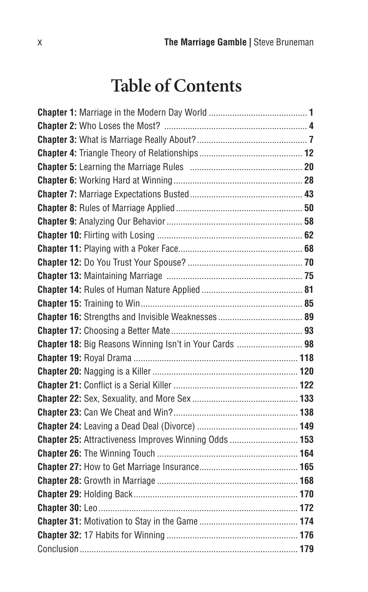# **Table of Contents**

| Chapter 18: Big Reasons Winning Isn't in Your Cards  98 |  |
|---------------------------------------------------------|--|
|                                                         |  |
|                                                         |  |
|                                                         |  |
|                                                         |  |
|                                                         |  |
|                                                         |  |
| Chapter 25: Attractiveness Improves Winning Odds  153   |  |
|                                                         |  |
|                                                         |  |
|                                                         |  |
|                                                         |  |
|                                                         |  |
|                                                         |  |
|                                                         |  |
|                                                         |  |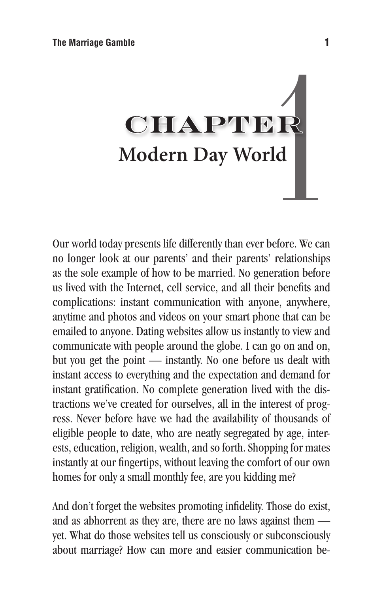# mble<br> **Modern Day World**<br>
we presents life differently than ever before. We contain the contact of their parametic relationship

Our world today presents life differently than ever before. We can no longer look at our parents' and their parents' relationships as the sole example of how to be married. No generation before us lived with the Internet, cell service, and all their benefits and complications: instant communication with anyone, anywhere, anytime and photos and videos on your smart phone that can be emailed to anyone. Dating websites allow us instantly to view and communicate with people around the globe. I can go on and on, but you get the point — instantly. No one before us dealt with instant access to everything and the expectation and demand for instant gratification. No complete generation lived with the distractions we've created for ourselves, all in the interest of progress. Never before have we had the availability of thousands of eligible people to date, who are neatly segregated by age, interests, education, religion, wealth, and so forth. Shopping for mates instantly at our fingertips, without leaving the comfort of our own homes for only a small monthly fee, are you kidding me?

And don't forget the websites promoting infidelity. Those do exist, and as abhorrent as they are, there are no laws against them yet. What do those websites tell us consciously or subconsciously about marriage? How can more and easier communication be-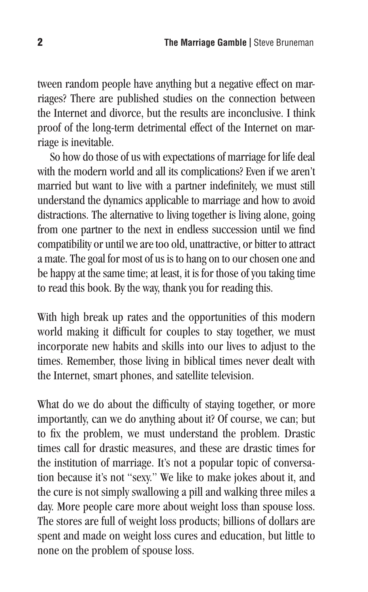tween random people have anything but a negative effect on marriages? There are published studies on the connection between the Internet and divorce, but the results are inconclusive. I think proof of the long-term detrimental effect of the Internet on marriage is inevitable.

So how do those of us with expectations of marriage for life deal with the modern world and all its complications? Even if we aren't married but want to live with a partner indefinitely, we must still understand the dynamics applicable to marriage and how to avoid distractions. The alternative to living together is living alone, going from one partner to the next in endless succession until we find compatibility or until we are too old, unattractive, or bitter to attract a mate. The goal for most of us is to hang on to our chosen one and be happy at the same time; at least, it is for those of you taking time to read this book. By the way, thank you for reading this.

With high break up rates and the opportunities of this modern world making it difficult for couples to stay together, we must incorporate new habits and skills into our lives to adjust to the times. Remember, those living in biblical times never dealt with the Internet, smart phones, and satellite television.

What do we do about the difficulty of staying together, or more importantly, can we do anything about it? Of course, we can; but to fix the problem, we must understand the problem. Drastic times call for drastic measures, and these are drastic times for the institution of marriage. It's not a popular topic of conversation because it's not "sexy." We like to make jokes about it, and the cure is not simply swallowing a pill and walking three miles a day. More people care more about weight loss than spouse loss. The stores are full of weight loss products; billions of dollars are spent and made on weight loss cures and education, but little to none on the problem of spouse loss.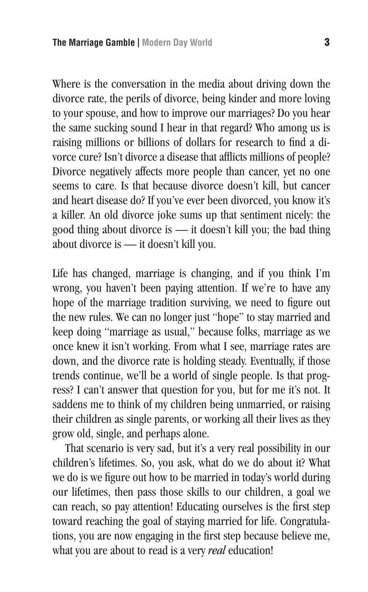Where is the conversation in the media about driving down the divorce rate, the perils of divorce, being kinder and more loving to your spouse, and how to improve our marriages? Do you hear the same sucking sound I hear in that regard? Who among us is raising millions or billions of dollars for research to find a divorce cure? Isn't divorce a disease that afflicts millions of people? Divorce negatively affects more people than cancer, yet no one seems to care. Is that because divorce doesn't kill, but cancer and heart disease do? If you've ever been divorced, you know it's a killer. An old divorce joke sums up that sentiment nicely: the good thing about divorce is — it doesn't kill you; the bad thing about divorce is — it doesn't kill you.

Life has changed, marriage is changing, and if you think I'm wrong, you haven't been paying attention. If we're to have any hope of the marriage tradition surviving, we need to figure out the new rules. We can no longer just "hope" to stay married and keep doing "marriage as usual," because folks, marriage as we once knew it isn't working. From what I see, marriage rates are down, and the divorce rate is holding steady. Eventually, if those trends continue, we'll be a world of single people. Is that progress? I can't answer that question for you, but for me it's not. It saddens me to think of my children being unmarried, or raising their children as single parents, or working all their lives as they grow old, single, and perhaps alone.

That scenario is very sad, but it's a very real possibility in our children's lifetimes. So, you ask, what do we do about it? What we do is we figure out how to be married in today's world during our lifetimes, then pass those skills to our children, a goal we can reach, so pay attention! Educating ourselves is the first step toward reaching the goal of staying married for life. Congratulations, you are now engaging in the first step because believe me, what you are about to read is a very *real* education!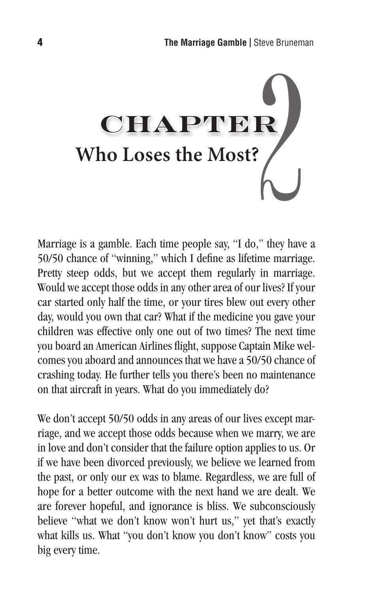

Marriage is a gamble. Each time people say, "I do," they have a 50/50 chance of "winning," which I define as lifetime marriage. Pretty steep odds, but we accept them regularly in marriage. Would we accept those odds in any other area of our lives? If your car started only half the time, or your tires blew out every other day, would you own that car? What if the medicine you gave your children was effective only one out of two times? The next time you board an American Airlines flight, suppose Captain Mike welcomes you aboard and announces that we have a 50/50 chance of crashing today. He further tells you there's been no maintenance on that aircraft in years. What do you immediately do?

We don't accept 50/50 odds in any areas of our lives except marriage, and we accept those odds because when we marry, we are in love and don't consider that the failure option applies to us. Or if we have been divorced previously, we believe we learned from the past, or only our ex was to blame. Regardless, we are full of hope for a better outcome with the next hand we are dealt. We are forever hopeful, and ignorance is bliss. We subconsciously believe "what we don't know won't hurt us," yet that's exactly what kills us. What "you don't know you don't know" costs you big every time.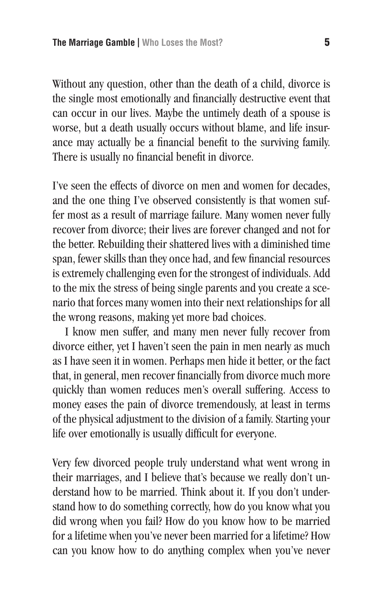Without any question, other than the death of a child, divorce is the single most emotionally and financially destructive event that can occur in our lives. Maybe the untimely death of a spouse is worse, but a death usually occurs without blame, and life insurance may actually be a financial benefit to the surviving family. There is usually no financial benefit in divorce.

I've seen the effects of divorce on men and women for decades, and the one thing I've observed consistently is that women suffer most as a result of marriage failure. Many women never fully recover from divorce; their lives are forever changed and not for the better. Rebuilding their shattered lives with a diminished time span, fewer skills than they once had, and few financial resources is extremely challenging even for the strongest of individuals. Add to the mix the stress of being single parents and you create a scenario that forces many women into their next relationships for all the wrong reasons, making yet more bad choices.

I know men suffer, and many men never fully recover from divorce either, yet I haven't seen the pain in men nearly as much as I have seen it in women. Perhaps men hide it better, or the fact that, in general, men recover financially from divorce much more quickly than women reduces men's overall suffering. Access to money eases the pain of divorce tremendously, at least in terms of the physical adjustment to the division of a family. Starting your life over emotionally is usually difficult for everyone.

Very few divorced people truly understand what went wrong in their marriages, and I believe that's because we really don't understand how to be married. Think about it. If you don't understand how to do something correctly, how do you know what you did wrong when you fail? How do you know how to be married for a lifetime when you've never been married for a lifetime? How can you know how to do anything complex when you've never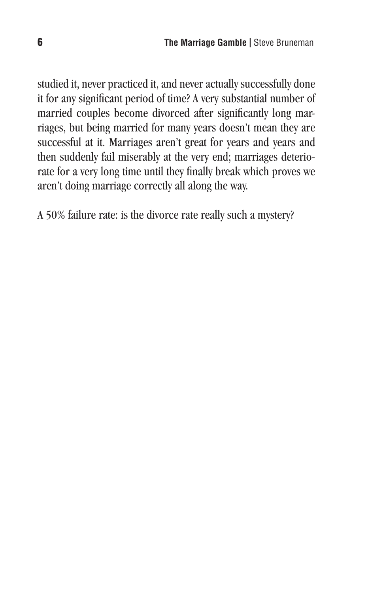studied it, never practiced it, and never actually successfully done it for any significant period of time? A very substantial number of married couples become divorced after significantly long marriages, but being married for many years doesn't mean they are successful at it. Marriages aren't great for years and years and then suddenly fail miserably at the very end; marriages deteriorate for a very long time until they finally break which proves we aren't doing marriage correctly all along the way.

A 50% failure rate: is the divorce rate really such a mystery?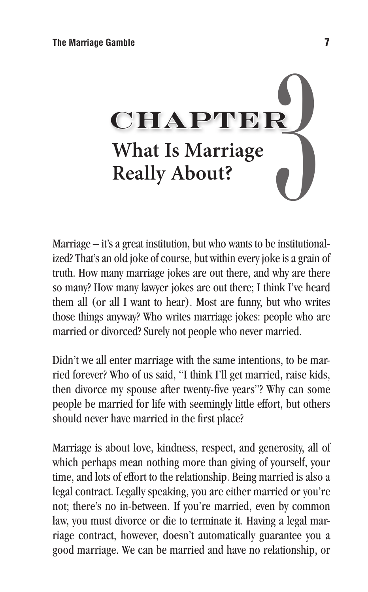

Marriage – it's a great institution, but who wants to be institutionalized? That's an old joke of course, but within every joke is a grain of truth. How many marriage jokes are out there, and why are there so many? How many lawyer jokes are out there; I think I've heard them all (or all I want to hear). Most are funny, but who writes those things anyway? Who writes marriage jokes: people who are married or divorced? Surely not people who never married.

Didn't we all enter marriage with the same intentions, to be married forever? Who of us said, "I think I'll get married, raise kids, then divorce my spouse after twenty-five years"? Why can some people be married for life with seemingly little effort, but others should never have married in the first place?

Marriage is about love, kindness, respect, and generosity, all of which perhaps mean nothing more than giving of yourself, your time, and lots of effort to the relationship. Being married is also a legal contract. Legally speaking, you are either married or you're not; there's no in-between. If you're married, even by common law, you must divorce or die to terminate it. Having a legal marriage contract, however, doesn't automatically guarantee you a good marriage. We can be married and have no relationship, or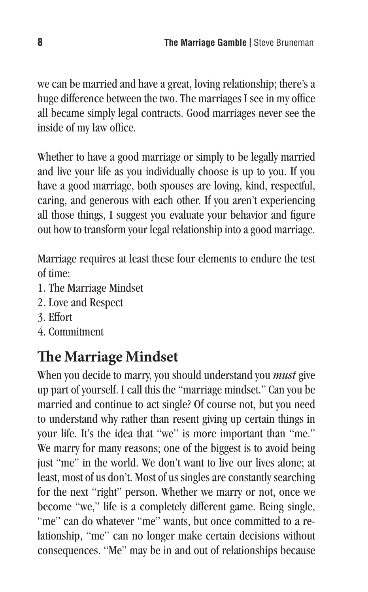we can be married and have a great, loving relationship; there's a huge difference between the two. The marriages I see in my office all became simply legal contracts. Good marriages never see the inside of my law office.

Whether to have a good marriage or simply to be legally married and live your life as you individually choose is up to you. If you have a good marriage, both spouses are loving, kind, respectful, caring, and generous with each other. If you aren't experiencing all those things, I suggest you evaluate your behavior and figure out how to transform your legal relationship into a good marriage.

Marriage requires at least these four elements to endure the test of time:

- 1. The Marriage Mindset
- 2. Love and Respect
- 3. Effort
- 4. Commitment

## **The Marriage Mindset**

When you decide to marry, you should understand you *must* give up part of yourself. I call this the "marriage mindset." Can you be married and continue to act single? Of course not, but you need to understand why rather than resent giving up certain things in your life. It's the idea that "we" is more important than "me." We marry for many reasons; one of the biggest is to avoid being just "me" in the world. We don't want to live our lives alone; at least, most of us don't. Most of us singles are constantly searching for the next "right" person. Whether we marry or not, once we become "we," life is a completely different game. Being single, "me" can do whatever "me" wants, but once committed to a relationship, "me" can no longer make certain decisions without consequences. "Me" may be in and out of relationships because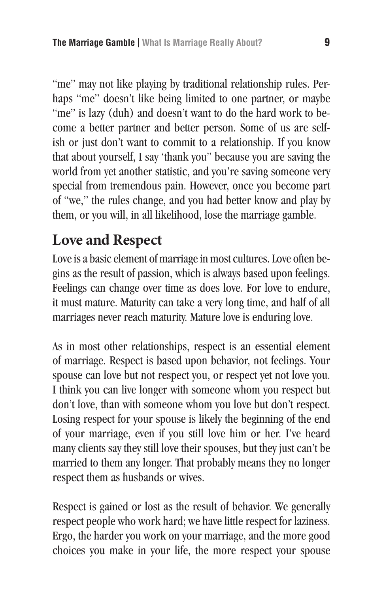"me" may not like playing by traditional relationship rules. Perhaps "me" doesn't like being limited to one partner, or maybe "me" is lazy (duh) and doesn't want to do the hard work to become a better partner and better person. Some of us are selfish or just don't want to commit to a relationship. If you know that about yourself, I say 'thank you" because you are saving the world from yet another statistic, and you're saving someone very special from tremendous pain. However, once you become part of "we," the rules change, and you had better know and play by them, or you will, in all likelihood, lose the marriage gamble.

### **Love and Respect**

Love is a basic element of marriage in most cultures. Love often begins as the result of passion, which is always based upon feelings. Feelings can change over time as does love. For love to endure, it must mature. Maturity can take a very long time, and half of all marriages never reach maturity. Mature love is enduring love.

As in most other relationships, respect is an essential element of marriage. Respect is based upon behavior, not feelings. Your spouse can love but not respect you, or respect yet not love you. I think you can live longer with someone whom you respect but don't love, than with someone whom you love but don't respect. Losing respect for your spouse is likely the beginning of the end of your marriage, even if you still love him or her. I've heard many clients say they still love their spouses, but they just can't be married to them any longer. That probably means they no longer respect them as husbands or wives.

Respect is gained or lost as the result of behavior. We generally respect people who work hard; we have little respect for laziness. Ergo, the harder you work on your marriage, and the more good choices you make in your life, the more respect your spouse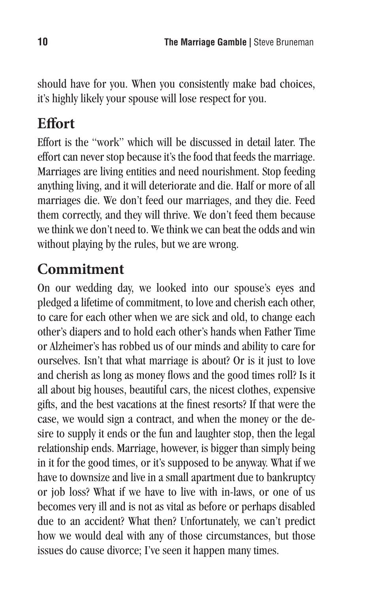should have for you. When you consistently make bad choices, it's highly likely your spouse will lose respect for you.

### **Effort**

Effort is the "work" which will be discussed in detail later. The effort can never stop because it's the food that feeds the marriage. Marriages are living entities and need nourishment. Stop feeding anything living, and it will deteriorate and die. Half or more of all marriages die. We don't feed our marriages, and they die. Feed them correctly, and they will thrive. We don't feed them because we think we don't need to. We think we can beat the odds and win without playing by the rules, but we are wrong.

### **Commitment**

On our wedding day, we looked into our spouse's eyes and pledged a lifetime of commitment, to love and cherish each other, to care for each other when we are sick and old, to change each other's diapers and to hold each other's hands when Father Time or Alzheimer's has robbed us of our minds and ability to care for ourselves. Isn't that what marriage is about? Or is it just to love and cherish as long as money flows and the good times roll? Is it all about big houses, beautiful cars, the nicest clothes, expensive gifts, and the best vacations at the finest resorts? If that were the case, we would sign a contract, and when the money or the desire to supply it ends or the fun and laughter stop, then the legal relationship ends. Marriage, however, is bigger than simply being in it for the good times, or it's supposed to be anyway. What if we have to downsize and live in a small apartment due to bankruptcy or job loss? What if we have to live with in-laws, or one of us becomes very ill and is not as vital as before or perhaps disabled due to an accident? What then? Unfortunately, we can't predict how we would deal with any of those circumstances, but those issues do cause divorce; I've seen it happen many times.